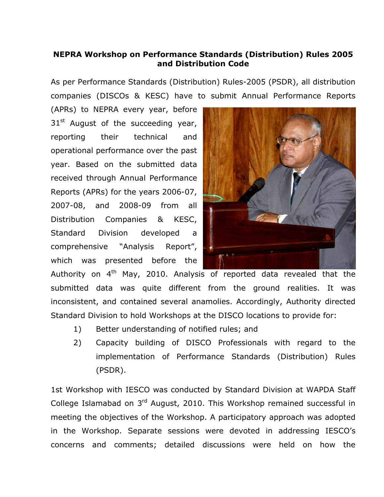## **NEPRA Workshop on Performance Standards (Distribution) Rules 2005 and Distribution Code**

As per Performance Standards (Distribution) Rules-2005 (PSDR), all distribution companies (DISCOs & KESC) have to submit Annual Performance Reports

(APRs) to NEPRA every year, before  $31<sup>st</sup>$  August of the succeeding year, reporting their technical and operational performance over the past year. Based on the submitted data received through Annual Performance Reports (APRs) for the years 2006-07, 2007-08, and 2008-09 from all Distribution Companies & KESC, Standard Division developed a comprehensive "Analysis Report", which was presented before the



Authority on  $4<sup>th</sup>$  May, 2010. Analysis of reported data revealed that the submitted data was quite different from the ground realities. It was inconsistent, and contained several anamolies. Accordingly, Authority directed Standard Division to hold Workshops at the DISCO locations to provide for:

- 1) Better understanding of notified rules; and
- 2) Capacity building of DISCO Professionals with regard to the implementation of Performance Standards (Distribution) Rules (PSDR).

1st Workshop with IESCO was conducted by Standard Division at WAPDA Staff College Islamabad on 3<sup>rd</sup> August, 2010. This Workshop remained successful in meeting the objectives of the Workshop. A participatory approach was adopted in the Workshop. Separate sessions were devoted in addressing IESCO's concerns and comments; detailed discussions were held on how the